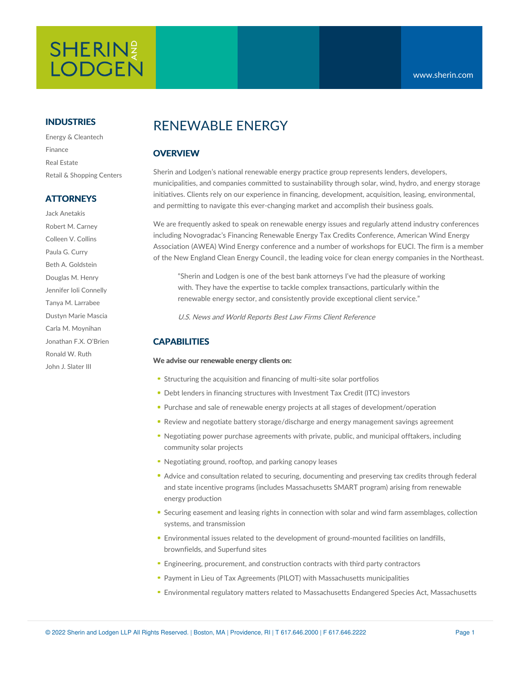# SHERIN? **LODGEN**

# **INDUSTRIES**

Energy & Cleantech Finance Real Estate Retail & Shopping Centers

# **ATTORNEYS**

Jack Anetakis Robert M. Carney Colleen V. Collins Paula G. Curry Beth A. Goldstein Douglas M. Henry Jennifer Ioli Connelly Tanya M. Larrabee Dustyn Marie Mascia Carla M. Moynihan Jonathan F.X. O'Brien Ronald W. Ruth John J. Slater III

# RENEWABLE ENERGY

# **OVERVIEW**

Sherin and Lodgen's national renewable energy practice group represents lenders, developers, municipalities, and companies committed to sustainability through solar, wind, hydro, and energy storage initiatives. Clients rely on our experience in financing, development, acquisition, leasing, environmental, and permitting to navigate this ever-changing market and accomplish their business goals.

We are frequently asked to speak on renewable energy issues and regularly attend industry conferences including [Novogradac's](https://www.awea.org/) Financing Renewable Energy Tax Credits Conference, American Wind Energy Association (AWEA) Wind Energy conference and a number of workshops for EUCI. The firm is a member of the New [England](https://www.necec.org/) Clean Energy Council , the leading voice for clean energy companies in the Northeast.

"Sherin and Lodgen is one of the best bank attorneys I've had the pleasure of working with. They have the expertise to tackle complex transactions, particularly within the renewable energy sector, and consistently provide exceptional client service."

U.S. News and World Reports Best Law Firms Client [Reference](https://bestlawfirms.usnews.com/profile/sherin-and-lodgen-llp/client-comments/17135)

# **CAPABILITIES**

#### **We advise our renewable energy clients on:**

- Structuring the acquisition and financing of multi-site solar portfolios
- Debt lenders in financing structures with Investment Tax Credit (ITC) investors
- Purchase and sale of renewable energy projects at all stages of development/operation
- Review and negotiate battery storage/discharge and energy management savings agreement
- Negotiating power purchase agreements with private, public, and municipal offtakers, including community solar projects
- Negotiating ground, rooftop, and parking canopy leases
- Advice and consultation related to securing, documenting and preserving tax credits through federal and state incentive programs (includes Massachusetts SMART program) arising from renewable energy production
- Securing easement and leasing rights in connection with solar and wind farm assemblages, collection systems, and transmission
- Environmental issues related to the development of ground-mounted facilities on landfills, brownfields, and Superfund sites
- Engineering, procurement, and construction contracts with third party contractors
- Payment in Lieu of Tax Agreements (PILOT) with Massachusetts municipalities
- Environmental regulatory matters related to Massachusetts Endangered Species Act, Massachusetts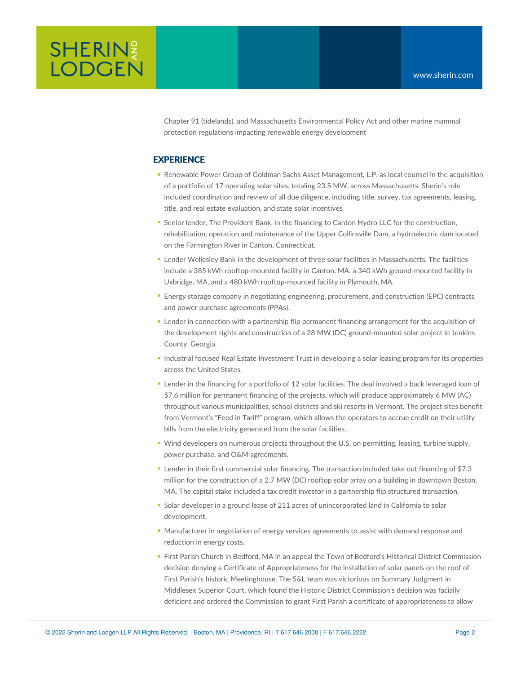

Chapter 91 (tidelands), and Massachusetts Environmental Policy Act and other marine mammal protection regulations impacting renewable energy development

### **EXPERIENCE**

- Renewable Power Group of Goldman Sachs Asset Management, L.P. as local counsel in the acquisition of a portfolio of 17 operating solar sites, totaling 23.5 MW, across Massachusetts. Sherin's role included coordination and review of all due diligence, including title, survey, tax agreements, leasing, title, and real estate evaluation, and state solar incentives
- **Senior lender, The Provident Bank, in the financing to Canton Hydro LLC for the construction,** rehabilitation, operation and maintenance of the Upper Collinsville Dam, a hydroelectric dam located on the Farmington River in Canton, Connecticut.
- Lender Wellesley Bank in the development of three solar facilities in Massachusetts. The facilities include a 385 kWh rooftop-mounted facility in Canton, MA, a 340 kWh ground-mounted facility in Uxbridge, MA, and a 480 kWh rooftop-mounted facility in Plymouth, MA.
- Energy storage company in negotiating engineering, procurement, and construction (EPC) contracts and power purchase agreements (PPAs).
- Lender in connection with a partnership flip permanent financing arrangement for the acquisition of the development rights and construction of a 28 MW (DC) ground-mounted solar project in Jenkins County, Georgia.
- Industrial focused Real Estate Investment Trust in developing a solar leasing program for its properties across the United States.
- Lender in the financing for a portfolio of 12 solar facilities. The deal involved a back leveraged loan of \$7.6 million for permanent financing of the projects, which will produce approximately 6 MW (AC) throughout various municipalities, school districts and ski resorts in Vermont. The project sites benefit from Vermont's "Feed in Tariff" program, which allows the operators to accrue credit on their utility bills from the electricity generated from the solar facilities.
- Wind developers on numerous projects throughout the U.S. on permitting, leasing, turbine supply, power purchase, and O&M agreements.
- Lender in their first commercial solar financing. The transaction included take out financing of \$7.3 million for the construction of a 2.7 MW (DC) rooftop solar array on a building in downtown Boston, MA. The capital stake included a tax credit investor in a partnership flip structured transaction.
- Solar developer in a ground lease of 211 acres of unincorporated land in California to solar development.
- Manufacturer in negotiation of energy services agreements to assist with demand response and reduction in energy costs.
- First Parish Church in Bedford, MA in an appeal the Town of Bedford's Historical District Commission decision denying a Certificate of Appropriateness for the installation of solar panels on the roof of First Parish's historic Meetinghouse. The S&L team was victorious on Summary Judgment in Middlesex Superior Court, which found the Historic District Commission's decision was facially deficient and ordered the Commission to grant First Parish a certificate of appropriateness to allow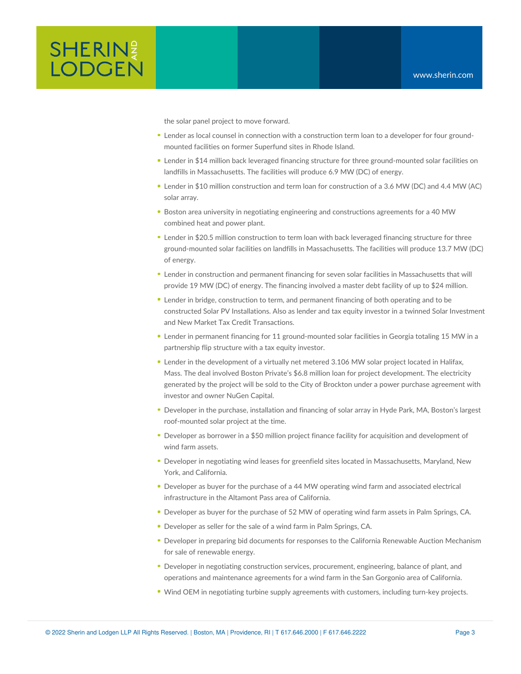

the solar panel project to move forward.

- Lender as local counsel in connection with a construction term loan to a developer for four groundmounted facilities on former Superfund sites in Rhode Island.
- Lender in \$14 million back leveraged financing structure for three ground-mounted solar facilities on landfills in Massachusetts. The facilities will produce 6.9 MW (DC) of energy.
- Lender in \$10 million construction and term loan for construction of a 3.6 MW (DC) and 4.4 MW (AC) solar array.
- **Boston area university in negotiating engineering and constructions agreements for a 40 MW** combined heat and power plant.
- Lender in \$20.5 million construction to term loan with back leveraged financing structure for three ground-mounted solar facilities on landfills in Massachusetts. The facilities will produce 13.7 MW (DC) of energy.
- Lender in construction and permanent financing for seven solar facilities in Massachusetts that will provide 19 MW (DC) of energy. The financing involved a master debt facility of up to \$24 million.
- Lender in bridge, construction to term, and permanent financing of both operating and to be constructed Solar PV Installations. Also as lender and tax equity investor in a twinned Solar Investment and New Market Tax Credit Transactions.
- Lender in permanent financing for 11 ground-mounted solar facilities in Georgia totaling 15 MW in a partnership flip structure with a tax equity investor.
- Lender in the development of a virtually net metered 3.106 MW solar project located in Halifax, Mass. The deal involved Boston Private's \$6.8 million loan for project development. The electricity generated by the project will be sold to the City of Brockton under a power purchase agreement with investor and owner NuGen Capital.
- Developer in the purchase, installation and financing of solar array in Hyde Park, MA, Boston's largest roof-mounted solar project at the time.
- Developer as borrower in a \$50 million project finance facility for acquisition and development of wind farm assets.
- Developer in negotiating wind leases for greenfield sites located in Massachusetts, Maryland, New York, and California.
- Developer as buyer for the purchase of a 44 MW operating wind farm and associated electrical infrastructure in the Altamont Pass area of California.
- Developer as buyer for the purchase of 52 MW of operating wind farm assets in Palm Springs, CA.
- Developer as seller for the sale of a wind farm in Palm Springs, CA.
- Developer in preparing bid documents for responses to the California Renewable Auction Mechanism for sale of renewable energy.
- Developer in negotiating construction services, procurement, engineering, balance of plant, and operations and maintenance agreements for a wind farm in the San Gorgonio area of California.
- Wind OEM in negotiating turbine supply agreements with customers, including turn-key projects.